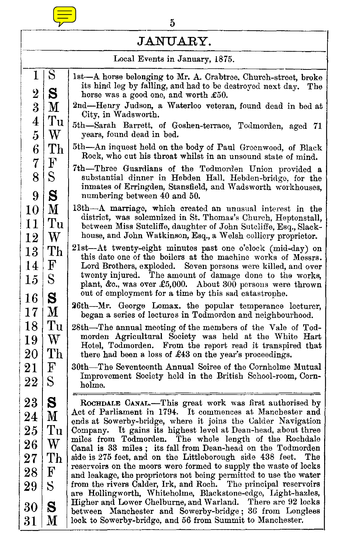

JANUARY.

Local Events in January, 1875.

| 1                          | S.                      | 1st-A horse belonging to Mr. A. Crabtree. Church-street, broke<br>its hind leg by falling, and had to be destroyed next day.<br>The  |
|----------------------------|-------------------------|--------------------------------------------------------------------------------------------------------------------------------------|
| $\overline{2}$             | S                       | horse was a good one, and worth $\pounds 50$ .                                                                                       |
| $\bf{3}$                   | M                       | 2nd-Henry Judson, a Waterloo veteran, found dead in bed at<br>City, in Wadsworth.                                                    |
| $\overline{4}$             | Tu                      | 5th-Sarah Barrett, of Goshen-terrace, Todmorden, aged 71                                                                             |
| 5                          | W                       | years, found dead in bed.                                                                                                            |
| 6                          | Th<br>${\bf F}$         | 5th-An inquest held on the body of Paul Greenwood, of Black<br>Rock, who cut his throat whilst in an unsound state of mind.          |
| $\overline{7}$             |                         | 7th-Three Guardians of the Todmorden Union provided a                                                                                |
| 8                          | S                       | substantial dinner in Hebden Hall, Hebden-bridge, for the<br>inmates of Erringden, Stansfield, and Wadsworth workhouses,             |
| 9                          | S                       | numbering between 40 and 50.                                                                                                         |
| 10                         | M                       | 13th—A marriage, which created an unusual interest in the                                                                            |
| 11                         | Tu                      | district, was solemnized in St. Thomas's Church, Heptonstall,<br>between Miss Sutcliffe, daughter of John Sutcliffe, Esq., Slack-    |
| 12                         | W                       | house, and John Watkinson, Esq., a Welsh colliery proprietor.                                                                        |
| 13                         | $\rm Th$                | 21st--At twenty-eight minutes past one o'clock (mid-day) on<br>this date one of the boilers at the machine works of Messrs.          |
| 14                         | F                       | Lord Brothers, exploded. Seven persons were killed, and over                                                                         |
| $15\,$                     | $S_{\text{}}$           | twenty injured. The amount of damage done to the works,                                                                              |
|                            |                         | plant, &c., was over £5,000. About 300 persons were thrown<br>out of employment for a time by this sad catastrophe.                  |
| $^{16}$                    | S                       | 26th-Mr. George Lomax, the popular temperance lecturer,                                                                              |
| 17                         | M                       | began a series of lectures in Todmorden and neighbourhood.                                                                           |
| 18                         | Tu                      | 28th—The annual meeting of the members of the Vale of Tod-<br>morden Agricultural Society was held at the White Hart                 |
| 19                         | W                       | Hotel, Todmorden. From the report read it transpired that                                                                            |
| $\rm 20$                   | ${\rm Th}$              | there had been a loss of £43 on the year's proceedings.                                                                              |
| $\overline{21}$            | $\overline{\mathrm{F}}$ | 30th—The Seventeenth Annual Soiree of the Cornholme Mutual                                                                           |
| $\overline{2}\overline{2}$ | $\rm S$                 | Improvement Society held in the British School-room, Corn-<br>$_{\rm holme.}$                                                        |
| $\overline{23}$            | S                       | ROCHDALE CANAL.—This great work was first authorised by                                                                              |
| $\overline{24}$            | М                       | Act of Parliament in 1794. It commences at Manchester and                                                                            |
| $\rm 25$                   | Tu                      | ends at Sowerby-bridge, where it joins the Calder Navigation<br>Company. It gains its highest level at Dean-head, about three        |
|                            | $\operatorname{W}$      | miles from Todmorden. The whole length of the Rochdale                                                                               |
| $\bf{^{26}}$               |                         | Canal is 33 miles; its fall from Dean-head on the Todmorden                                                                          |
| $\overline{27}$            | Th                      | side is 275 feet, and on the Littleborough side 438 feet.<br>The<br>reservoirs on the moors were formed to supply the waste of locks |
| $^{28}$                    | F                       | and leakage, the proprietors not being permitted to use the water                                                                    |
| 29                         | S                       | from the rivers Calder, Irk, and Roch. The principal reservoirs<br>are Hollingworth, Whiteholme, Blackstone-edge, Light-hazles,      |
| $30\,$                     | S                       | Higher and Lower Chelburne, and Warland. There are 92 locks                                                                          |
| $31\,$                     | М                       | between Manchester and Sowerby-bridge; 36 from Longlees<br>lock to Sowerby-bridge, and 56 from Summit to Manchester.                 |
|                            |                         |                                                                                                                                      |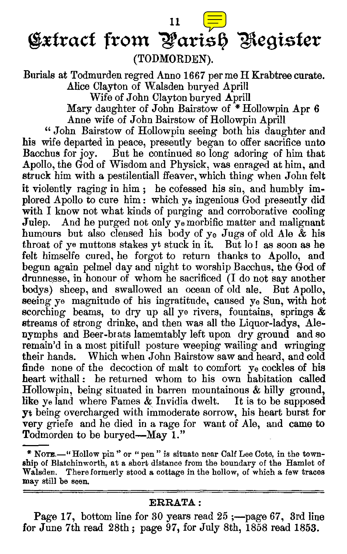11 Gxtract from Yarish Register (TODMORDEN).

Burials at Todmurden regred Anno 1667 per me H Krabtree curate. Alice Clayton of Walsden buryed Aprill Wife of John Clayton buryed Aprill

> Mary daughter of John Bairstow of \*Hollowpin Apr 6 Anne wife of John Bairstow of Hollowpin Aprill

" John Bairstow of Hollowpin seeing both his daughter and his wife departed in peace, presently began to offer sacrifice unto Bacchus for joy. But he continued so long adoring of him that Apollo, the God of Wisdom and Physick, was enraged at him, and struck him with a pestilentiall ffeaver, which thing when John felt it violently raging in him ; he cofessed his sin, and humbly implored Apollo to cure him : which ye ingenious God presently did with I know not what kinds of purging and corroborative cooling Julep. And he purged not only ye morbific matter and malignant humours but also clensed his body of  $y_e$  Jugs of old Ale  $\&$  his throat of ye muttons stakes yt stuck in it. But lo! as soon as he felt himselfe cured, he forgot to return thanks to Apollo, and begun again pelmel day and night to worship Bacchus, the God of drunnesse, in honour of whom he sacrificed (I do not say another bodys) sheep, and swallowed an ocean of old ale. But Apollo, seeing ye magnitude of his ingratitude, caused ye Sun, with hot scorching beams, to dry up all ye rivers, fountains, springs  $\&$ streams of strong drinke, and then was all the Liquor-ladys, Alenymphs and Beer-brats lamemtably left upon dry ground and so remain'd in a most pitifull posture weeping wailing and wringing their hands. Which when John Bairstow saw and heard, and cold finde none of the decoction of malt to comfort ye cockles of his heart withall : he returned whom to his own habitation called Hollowpin, being situated in barren mountainous & hilly ground, like ye land where Fames & Invidia dwelt. It is to be supposed yt being overcharged with immoderate sorrow, his heart burst for very griefe and he died in a rage for want of Ale, and came to Todmorden to be buryed—May 1."

\* **NoTE.—"** Hollow pin " or " pen " is situate near Calf Lee Cote, in the township of Blatchinworth, at a short distance from the boundary of the Hamlet of Walsden. There formerly stood a cottage in the hollow, of which a few traces may still be seen.

## **ERRATA :**

Page 17, bottom line for 30 years read 25 ;—page 67, 3rd line for June 7th read  $28th$ ; page  $97$ , for July 8th,  $1858$  read  $1853$ .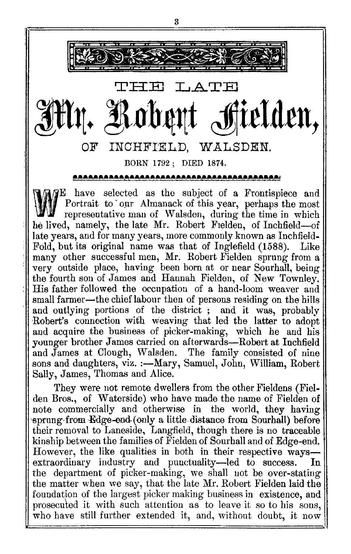

den Bros., of Waterside) who have made the name of Fielden of note commercially and otherwise in the world, they having sprung from Edge-end (only a little distance from Sourhall) before their removal to Laneside, Langfield, though there is no traceable kinship between the families of Fielden of Sourhall and of Edge-end. However, the like qualities in both in their respective ways extraordinary industry and punctuality—led to success. In the department of picker-making, we shall not be over-stating the matter when we say, that the late Mr. Robert Fielden laid the foundation of the largest picker making business in existence, and prosecuted it with such attention as to leave it so to his sons, who have still further extended it, and, without doubt, it now